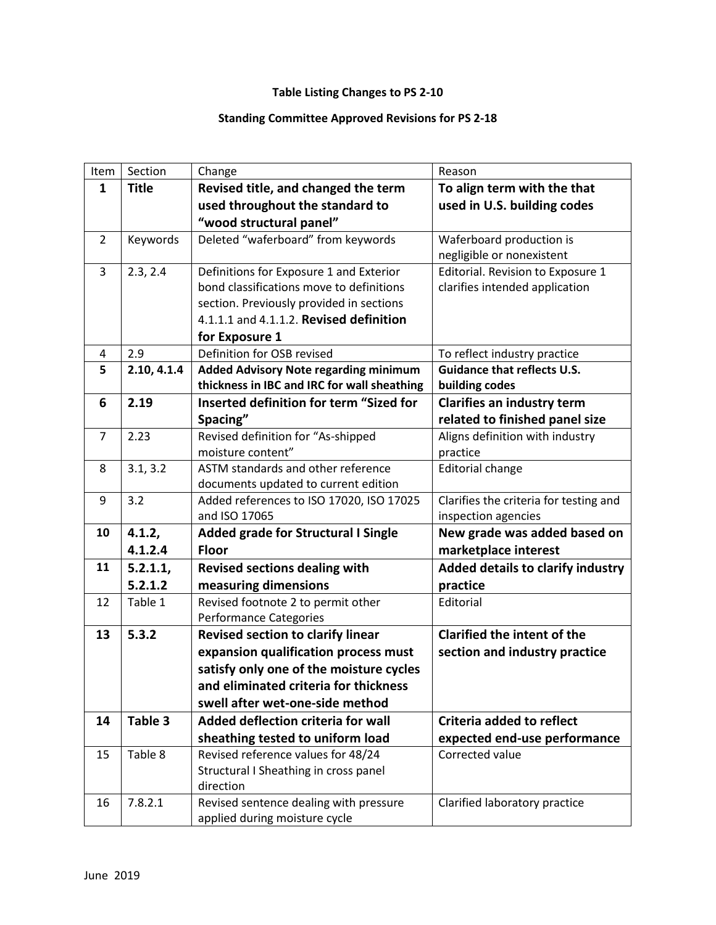## **Table Listing Changes to PS 2-10**

## **Standing Committee Approved Revisions for PS 2-18**

| Item           | Section      | Change                                       | Reason                                   |
|----------------|--------------|----------------------------------------------|------------------------------------------|
| 1              | <b>Title</b> | Revised title, and changed the term          | To align term with the that              |
|                |              | used throughout the standard to              | used in U.S. building codes              |
|                |              | "wood structural panel"                      |                                          |
| 2              | Keywords     | Deleted "waferboard" from keywords           | Waferboard production is                 |
|                |              |                                              | negligible or nonexistent                |
| 3              | 2.3, 2.4     | Definitions for Exposure 1 and Exterior      | Editorial. Revision to Exposure 1        |
|                |              | bond classifications move to definitions     | clarifies intended application           |
|                |              | section. Previously provided in sections     |                                          |
|                |              | 4.1.1.1 and 4.1.1.2. Revised definition      |                                          |
|                |              | for Exposure 1                               |                                          |
| 4              | 2.9          | Definition for OSB revised                   | To reflect industry practice             |
| 5              | 2.10, 4.1.4  | <b>Added Advisory Note regarding minimum</b> | <b>Guidance that reflects U.S.</b>       |
|                |              | thickness in IBC and IRC for wall sheathing  | building codes                           |
| 6              | 2.19         | Inserted definition for term "Sized for      | Clarifies an industry term               |
|                |              | Spacing"                                     | related to finished panel size           |
| $\overline{7}$ | 2.23         | Revised definition for "As-shipped           | Aligns definition with industry          |
|                |              | moisture content"                            | practice                                 |
| 8              | 3.1, 3.2     | ASTM standards and other reference           | <b>Editorial change</b>                  |
|                |              | documents updated to current edition         |                                          |
| 9              | 3.2          | Added references to ISO 17020, ISO 17025     | Clarifies the criteria for testing and   |
|                |              | and ISO 17065                                | inspection agencies                      |
| 10             | 4.1.2,       | Added grade for Structural I Single          | New grade was added based on             |
|                | 4.1.2.4      | <b>Floor</b>                                 | marketplace interest                     |
| 11             | 5.2.1.1,     | <b>Revised sections dealing with</b>         | <b>Added details to clarify industry</b> |
|                | 5.2.1.2      | measuring dimensions                         | practice                                 |
| 12             | Table 1      | Revised footnote 2 to permit other           | Editorial                                |
|                |              | <b>Performance Categories</b>                |                                          |
| 13             | 5.3.2        | <b>Revised section to clarify linear</b>     | Clarified the intent of the              |
|                |              | expansion qualification process must         | section and industry practice            |
|                |              | satisfy only one of the moisture cycles      |                                          |
|                |              | and eliminated criteria for thickness        |                                          |
|                |              | swell after wet-one-side method              |                                          |
| 14             | Table 3      | Added deflection criteria for wall           | Criteria added to reflect                |
|                |              | sheathing tested to uniform load             | expected end-use performance             |
| 15             | Table 8      | Revised reference values for 48/24           | Corrected value                          |
|                |              | Structural I Sheathing in cross panel        |                                          |
|                |              | direction                                    |                                          |
| 16             | 7.8.2.1      | Revised sentence dealing with pressure       | Clarified laboratory practice            |
|                |              | applied during moisture cycle                |                                          |